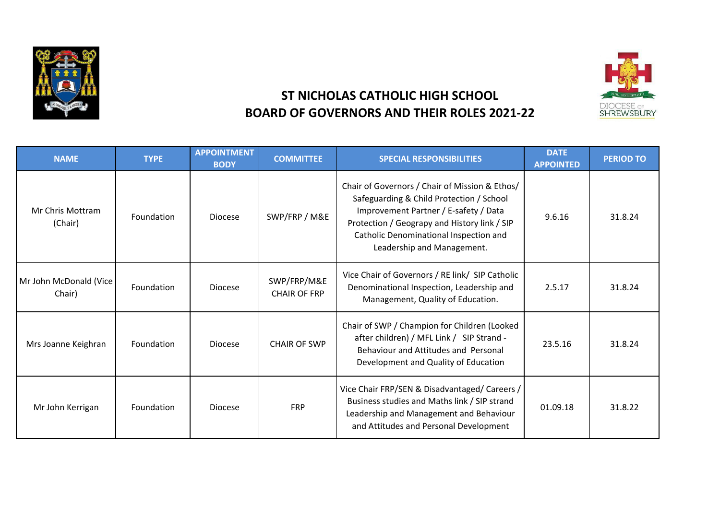



## **ST NICHOLAS CATHOLIC HIGH SCHOOL BOARD OF GOVERNORS AND THEIR ROLES 2021-22**

| <b>NAME</b>                      | <b>TYPE</b> | <b>APPOINTMENT</b><br><b>BODY</b> | <b>COMMITTEE</b>                   | <b>SPECIAL RESPONSIBILITIES</b>                                                                                                                                                                                                                             | <b>DATE</b><br><b>APPOINTED</b> | <b>PERIOD TO</b> |
|----------------------------------|-------------|-----------------------------------|------------------------------------|-------------------------------------------------------------------------------------------------------------------------------------------------------------------------------------------------------------------------------------------------------------|---------------------------------|------------------|
| Mr Chris Mottram<br>(Chair)      | Foundation  | <b>Diocese</b>                    | SWP/FRP / M&E                      | Chair of Governors / Chair of Mission & Ethos/<br>Safeguarding & Child Protection / School<br>Improvement Partner / E-safety / Data<br>Protection / Geograpy and History link / SIP<br>Catholic Denominational Inspection and<br>Leadership and Management. | 9.6.16                          | 31.8.24          |
| Mr John McDonald (Vice<br>Chair) | Foundation  | <b>Diocese</b>                    | SWP/FRP/M&E<br><b>CHAIR OF FRP</b> | Vice Chair of Governors / RE link/ SIP Catholic<br>Denominational Inspection, Leadership and<br>Management, Quality of Education.                                                                                                                           | 2.5.17                          | 31.8.24          |
| Mrs Joanne Keighran              | Foundation  | <b>Diocese</b>                    | <b>CHAIR OF SWP</b>                | Chair of SWP / Champion for Children (Looked<br>after children) / MFL Link / SIP Strand -<br>Behaviour and Attitudes and Personal<br>Development and Quality of Education                                                                                   | 23.5.16                         | 31.8.24          |
| Mr John Kerrigan                 | Foundation  | <b>Diocese</b>                    | <b>FRP</b>                         | Vice Chair FRP/SEN & Disadvantaged/ Careers /<br>Business studies and Maths link / SIP strand<br>Leadership and Management and Behaviour<br>and Attitudes and Personal Development                                                                          | 01.09.18                        | 31.8.22          |